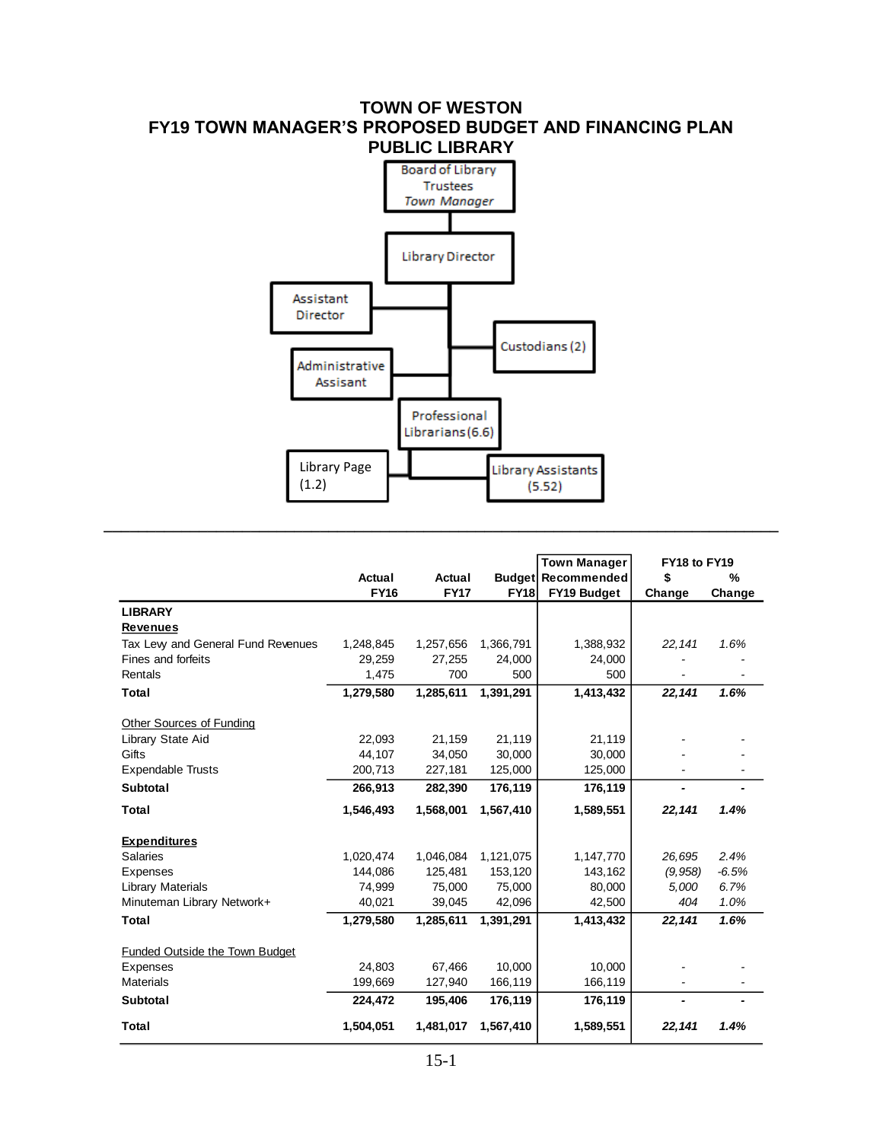## **TOWN OF WESTON FY19 TOWN MANAGER'S PROPOSED BUDGET AND FINANCING PLAN PUBLIC LIBRARY**



**\_\_\_\_\_\_\_\_\_\_\_\_\_\_\_\_\_\_\_\_\_\_\_\_\_\_\_\_\_\_\_\_\_\_\_\_\_\_\_\_\_\_\_\_\_\_\_\_\_\_\_\_\_\_\_\_\_\_\_\_\_\_\_\_\_\_\_\_\_\_\_\_\_\_\_\_\_\_**

|                                   |             |             |             | <b>Town Manager</b>       | FY18 to FY19 |         |  |
|-----------------------------------|-------------|-------------|-------------|---------------------------|--------------|---------|--|
|                                   | Actual      | Actual      |             | <b>Budget Recommended</b> | \$           | %       |  |
|                                   | <b>FY16</b> | <b>FY17</b> | <b>FY18</b> | FY19 Budget               | Change       | Change  |  |
| <b>LIBRARY</b>                    |             |             |             |                           |              |         |  |
| <b>Revenues</b>                   |             |             |             |                           |              |         |  |
| Tax Lew and General Fund Revenues | 1,248,845   | 1,257,656   | 1,366,791   | 1,388,932                 | 22, 141      | 1.6%    |  |
| Fines and forfeits                | 29,259      | 27,255      | 24,000      | 24,000                    |              |         |  |
| Rentals                           | 1,475       | 700         | 500         | 500                       |              |         |  |
| <b>Total</b>                      | 1,279,580   | 1,285,611   | 1,391,291   | 1,413,432                 | 22,141       | 1.6%    |  |
| Other Sources of Funding          |             |             |             |                           |              |         |  |
| Library State Aid                 | 22.093      | 21,159      | 21,119      | 21,119                    |              |         |  |
| Gifts                             | 44,107      | 34,050      | 30,000      | 30,000                    |              |         |  |
| <b>Expendable Trusts</b>          | 200,713     | 227,181     | 125,000     | 125,000                   |              |         |  |
| <b>Subtotal</b>                   | 266,913     | 282,390     | 176,119     | 176,119                   |              |         |  |
| Total                             | 1,546,493   | 1,568,001   | 1,567,410   | 1,589,551                 | 22,141       | 1.4%    |  |
| <b>Expenditures</b>               |             |             |             |                           |              |         |  |
| <b>Salaries</b>                   | 1,020,474   | 1,046,084   | 1,121,075   | 1,147,770                 | 26,695       | 2.4%    |  |
| Expenses                          | 144,086     | 125,481     | 153,120     | 143,162                   | (9, 958)     | $-6.5%$ |  |
| <b>Library Materials</b>          | 74,999      | 75,000      | 75,000      | 80,000                    | 5,000        | 6.7%    |  |
| Minuteman Library Network+        | 40,021      | 39,045      | 42,096      | 42,500                    | 404          | 1.0%    |  |
| Total                             | 1,279,580   | 1,285,611   | 1,391,291   | 1,413,432                 | 22,141       | 1.6%    |  |
| Funded Outside the Town Budget    |             |             |             |                           |              |         |  |
| Expenses                          | 24,803      | 67,466      | 10,000      | 10,000                    |              |         |  |
| <b>Materials</b>                  | 199,669     | 127,940     | 166,119     | 166,119                   |              |         |  |
| <b>Subtotal</b>                   | 224,472     | 195,406     | 176,119     | 176,119                   | ۰            |         |  |
| Total                             | 1,504,051   | 1,481,017   | 1,567,410   | 1,589,551                 | 22,141       | 1.4%    |  |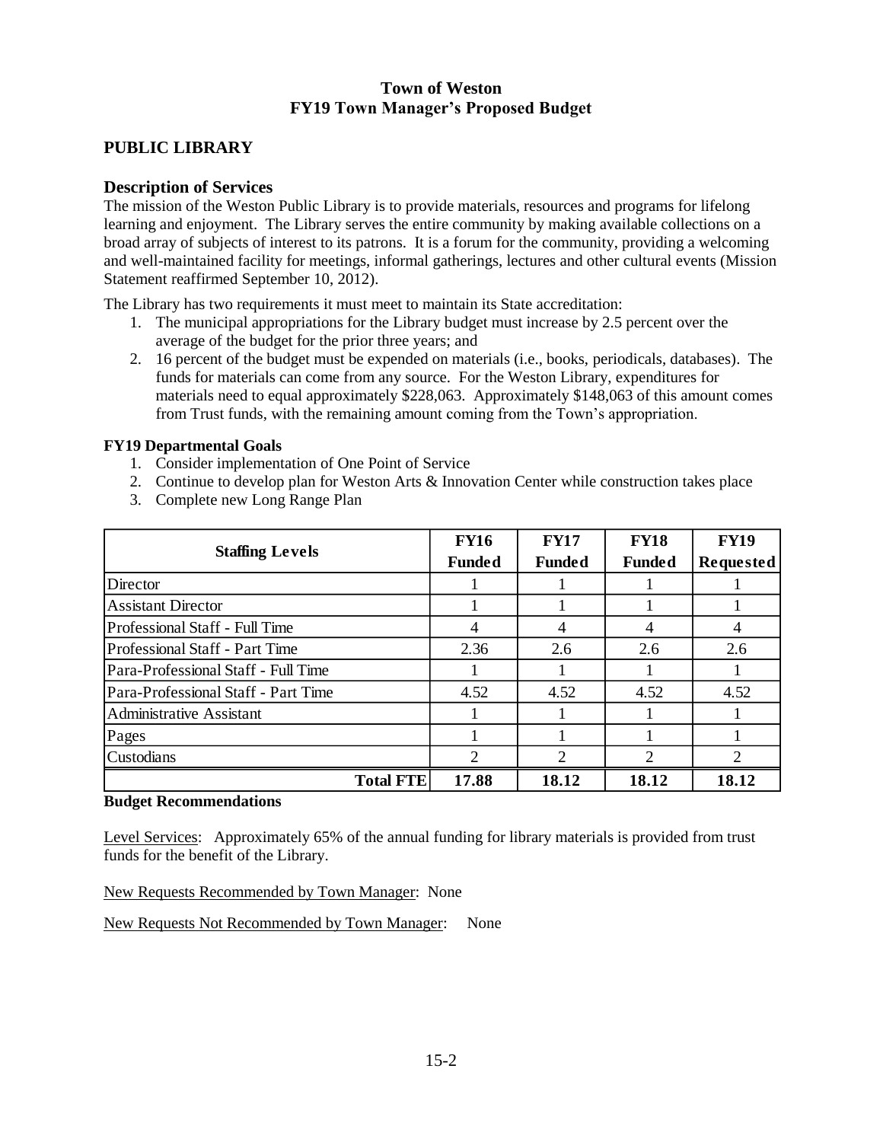## **Town of Weston FY19 Town Manager's Proposed Budget**

## **PUBLIC LIBRARY**

#### **Description of Services**

The mission of the Weston Public Library is to provide materials, resources and programs for lifelong learning and enjoyment. The Library serves the entire community by making available collections on a broad array of subjects of interest to its patrons. It is a forum for the community, providing a welcoming and well-maintained facility for meetings, informal gatherings, lectures and other cultural events (Mission Statement reaffirmed September 10, 2012).

The Library has two requirements it must meet to maintain its State accreditation:

- 1. The municipal appropriations for the Library budget must increase by 2.5 percent over the average of the budget for the prior three years; and
- 2. 16 percent of the budget must be expended on materials (i.e., books, periodicals, databases). The funds for materials can come from any source. For the Weston Library, expenditures for materials need to equal approximately \$228,063. Approximately \$148,063 of this amount comes from Trust funds, with the remaining amount coming from the Town's appropriation.

#### **FY19 Departmental Goals**

- 1. Consider implementation of One Point of Service
- 2. Continue to develop plan for Weston Arts & Innovation Center while construction takes place
- 3. Complete new Long Range Plan

|                                     | <b>FY16</b>   | <b>FY17</b>    | <b>FY18</b>                            | <b>FY19</b>                 |
|-------------------------------------|---------------|----------------|----------------------------------------|-----------------------------|
| <b>Staffing Levels</b>              | <b>Funded</b> | <b>Funded</b>  | <b>Funded</b><br>4<br>2.6<br>4.52<br>2 | <b>Requested</b>            |
| Director                            |               |                |                                        |                             |
| <b>Assistant Director</b>           |               |                |                                        |                             |
| Professional Staff - Full Time      | 4             | 4              |                                        | 4                           |
| Professional Staff - Part Time      | 2.36          | 2.6            |                                        | 2.6                         |
| Para-Professional Staff - Full Time |               |                |                                        |                             |
| Para-Professional Staff - Part Time | 4.52          | 4.52           |                                        | 4.52                        |
| <b>Administrative Assistant</b>     |               |                |                                        |                             |
| Pages                               |               |                |                                        |                             |
| Custodians                          | 2             | $\overline{2}$ |                                        | $\mathcal{D}_{\mathcal{L}}$ |
| <b>Total FTE</b>                    | 17.88         | 18.12          | 18.12                                  | 18.12                       |

#### **Budget Recommendations**

Level Services: Approximately 65% of the annual funding for library materials is provided from trust funds for the benefit of the Library.

New Requests Recommended by Town Manager: None

New Requests Not Recommended by Town Manager: None